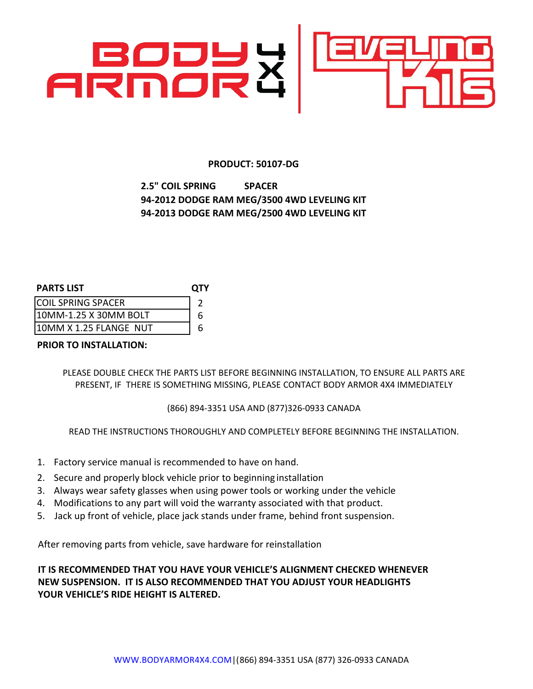

### **PRODUCT: 50107-DG**

# **2.5" COIL SPRING SPACER 94‐2012 DODGE RAM MEG/3500 4WD LEVELING KIT 94‐2013 DODGE RAM MEG/2500 4WD LEVELING KIT**

| <b>PARTS LIST</b>         | <b>OTY</b> |
|---------------------------|------------|
| <b>COIL SPRING SPACER</b> |            |

| ורחוות חבר היהודים לאחרות |  |
|---------------------------|--|
| 10MM-1.25 X 30MM BOLT     |  |
| 10MM X 1.25 FLANGE  NUT   |  |

## **PRIOR TO INSTALLATION:**

PLEASE DOUBLE CHECK THE PARTS LIST BEFORE BEGINNING INSTALLATION, TO ENSURE ALL PARTS ARE PRESENT, IF THERE IS SOMETHING MISSING, PLEASE CONTACT BODY ARMOR 4X4 IMMEDIATELY

## (866) 894-3351 USA AND (877)326-0933 CANADA

READ THE INSTRUCTIONS THOROUGHLY AND COMPLETELY BEFORE BEGINNING THE INSTALLATION.

- 1. Factory service manual is recommended to have on hand.
- 2. Secure and properly block vehicle prior to beginning installation
- 3. Always wear safety glasses when using power tools or working under the vehicle
- 4. Modifications to any part will void the warranty associated with that product.
- 5. Jack up front of vehicle, place jack stands under frame, behind front suspension.

After removing parts from vehicle, save hardware for reinstallation

**IT IS RECOMMENDED THAT YOU HAVE YOUR VEHICLE'S ALIGNMENT CHECKED WHENEVER NEW SUSPENSION. IT IS ALSO RECOMMENDED THAT YOU ADJUST YOUR HEADLIGHTS YOUR VEHICLE'S RIDE HEIGHT IS ALTERED.**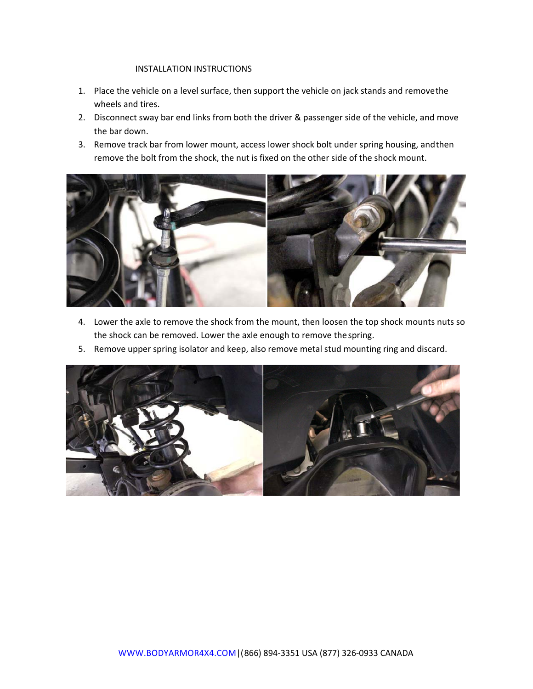#### INSTALLATION INSTRUCTIONS

- 1. Place the vehicle on a level surface, then support the vehicle on jack stands and remove the wheels and tires.
- 2. Disconnect sway bar end links from both the driver & passenger side of the vehicle, and move the bar down.
- 3. Remove track bar from lower mount, access lower shock bolt under spring housing, and then remove the bolt from the shock, the nut is fixed on the other side of the shock mount.



- 4. Lower the axle to remove the shock from the mount, then loosen the top shock mounts nuts so the shock can be removed. Lower the axle enough to remove the spring.
- 5. Remove upper spring isolator and keep, also remove metal stud mounting ring and discard.